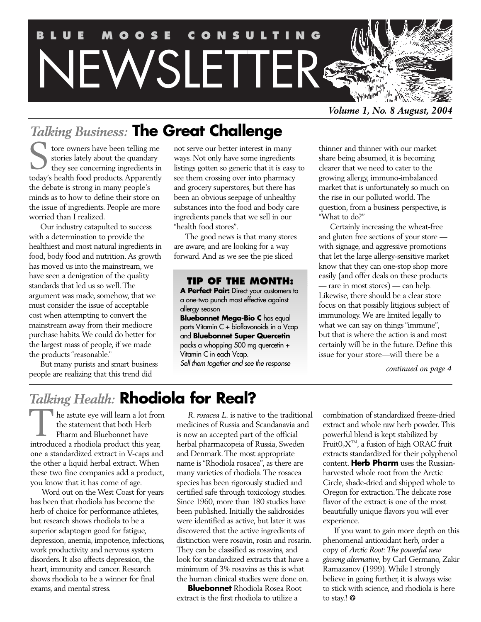

*Volume 1, No. 8 August, 2004*

# *Talking Business: The Great Challenge*

tore owners have been telling me stories lately about the quandary they see concerning ingredients in tore owners have been telling me<br>stories lately about the quandary<br>they see concerning ingredients in<br>today's health food products. Apparently the debate is strong in many people's minds as to how to define their store on the issue of ingredients. People are more worried than I realized.

Our industry catapulted to success with a determination to provide the healthiest and most natural ingredients in food, body food and nutrition. As growth has moved us into the mainstream, we have seen a denigration of the quality standards that led us so well. The argument was made, somehow, that we must consider the issue of acceptable cost when attempting to convert the mainstream away from their mediocre purchase habits. We could do better for the largest mass of people, if we made the products "reasonable."

But many purists and smart business people are realizing that this trend did

not serve our better interest in many ways. Not only have some ingredients listings gotten so generic that it is easy to see them crossing over into pharmacy and grocery superstores, but there has been an obvious seepage of unhealthy substances into the food and body care ingredients panels that we sell in our "health food stores".

The good news is that many stores are aware, and are looking for a way forward. And as we see the pie sliced

**TIP OF THE MONTH:**  *A Perfect Pair:* Direct your customers to a one-two punch most effective against allergy season

*Bluebonnet Mega-Bio C* has equal parts Vitamin C + bioflavonoids in a Vcap and *Bluebonnet Super Quercetin* packs a whopping 500 mg quercetin + Vitamin C in each Vcap. Sell them together and see the response

thinner and thinner with our market share being absumed, it is becoming clearer that we need to cater to the growing allergy, immuno-imbalanced market that is unfortunately so much on the rise in our polluted world. The question, from a business perspective, is "What to do?"

Certainly increasing the wheat-free and gluten free sections of your store with signage, and aggressive promotions that let the large allergy-sensitive market know that they can one-stop shop more easily (and offer deals on these products — rare in most stores) — can help. Likewise, there should be a clear store focus on that possibly litigious subject of immunology. We are limited legally to what we can say on things "immune", but that is where the action is and most certainly will be in the future. Define this issue for your store—will there be a

*continued on page 4*

# *Talking Health: Rhodiola for Real?*

he astute eye will learn a lot from the statement that both Herb Pharm and Bluebonnet have International and Shuebonnet have<br>
introduced a rhodiola product this year, one a standardized extract in V-caps and the other a liquid herbal extract. When these two fine companies add a product, you know that it has come of age.

Word out on the West Coast for years has been that rhodiola has become the herb of choice for performance athletes, but research shows rhodiola to be a superior adaptogen good for fatigue, depression, anemia, impotence, infections, work productivity and nervous system disorders. It also affects depression, the heart, immunity and cancer. Research shows rhodiola to be a winner for final exams, and mental stress.

*R. rosacea L.* is native to the traditional medicines of Russia and Scandanavia and is now an accepted part of the official herbal pharmacopeia of Russia, Sweden and Denmark. The most appropriate name is "Rhodiola rosacea", as there are many varieties of rhodiola. The rosacea species has been rigorously studied and certified safe through toxicology studies. Since 1960, more than 180 studies have been published. Initially the salidrosides were identified as active, but later it was discovered that the active ingredients of distinction were rosavin, rosin and rosarin. They can be classified as rosavins, and look for standardized extracts that have a minimum of 3% rosavins as this is what the human clinical studies were done on.

*Bluebonnet* Rhodiola Rosea Root extract is the first rhodiola to utilize a

combination of standardized freeze-dried extract and whole raw herb powder. This powerful blend is kept stabilized by Fruit $0<sub>2</sub>X<sup>TM</sup>$ , a fusion of high ORAC fruit extracts standardized for their polyphenol content. *Herb Pharm* uses the Russianharvested whole root from the Arctic Circle, shade-dried and shipped whole to Oregon for extraction. The delicate rose flavor of the extract is one of the most beautifully unique flavors you will ever experience.

If you want to gain more depth on this phenomenal antioxidant herb, order a copy of *Arctic Root: The powerful new ginseng alternative*, by Carl Germano, Zakir Ramazanov (1999). While I strongly believe in going further, it is always wise to stick with science, and rhodiola is here to stay.! \*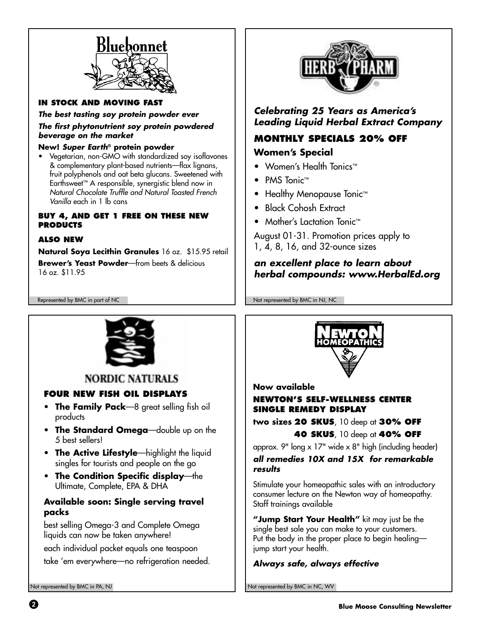

### **IN STOCK AND MOVING FAST**

#### *The best tasting soy protein powder ever The first phytonutrient soy protein powdered beverage on the market*

#### *New! Super Earth® protein powder*

• Vegetarian, non-GMO with standardized soy isoflavones & complementary plant-based nutrients—flax lignans, fruit polyphenols and oat beta glucans. Sweetened with Earthsweet™ A responsible, synergistic blend now in Natural Chocolate Truffle and Natural Toasted French Vanilla each in 1 lb cans

#### **BUY 4, AND GET 1 FREE ON THESE NEW PRODUCTS**

#### **ALSO NEW**

*Natural Soya Lecithin Granules* 16 oz. \$15.95 retail

*Brewer's Yeast Powder*—from beets & delicious 16 oz. \$11.95



## *Celebrating 25 Years as America's Leading Liquid Herbal Extract Company*

## **MONTHLY SPECIALS 20% OFF**

## *Women's Special*

- Women's Health Tonics™
- PMS Tonic™
- Healthy Menopause Tonic™
- Black Cohosh Extract
- Mother's Lactation Tonic™

August 01-31. Promotion prices apply to 1, 4, 8, 16, and 32-ounce sizes

## *an excellent place to learn about herbal compounds: www.HerbalEd.org*

Represented by BMC in part of NC Not represented by BMC in NJ, NC



## **NORDIC NATURALS**

## **FOUR NEW FISH OIL DISPLAYS**

- *The Family Pack*—8 great selling fish oil products
- *The Standard Omega*—double up on the 5 best sellers!
- *The Active Lifestyle*—highlight the liquid singles for tourists and people on the go
- *The Condition Specific display*—the Ultimate, Complete, EPA & DHA

## *Available soon: Single serving travel packs*

best selling Omega-3 and Complete Omega liquids can now be taken anywhere! each individual packet equals one teaspoon

take 'em everywhere—no refrigeration needed.





*Now available*

## **NEWTON'S SELF-WELLNESS CENTER SINGLE REMEDY DISPLAY**

*two sizes* **20 SKUS**, 10 deep at **30% OFF 40 SKUS**, 10 deep at **40% OFF**

approx.  $9"$  long x 17" wide x  $8"$  high (including header) *all remedies 10X and 15X for remarkable results*

Stimulate your homeopathic sales with an introductory consumer lecture on the Newton way of homeopathy. Staff trainings available

*"Jump Start Your Health"* kit may just be the single best sale you can make to your customers. Put the body in the proper place to begin healing jump start your health.

## *Always safe, always effective*

Not represented by BMC in PA, NJ Not represented by BMC in NC, WV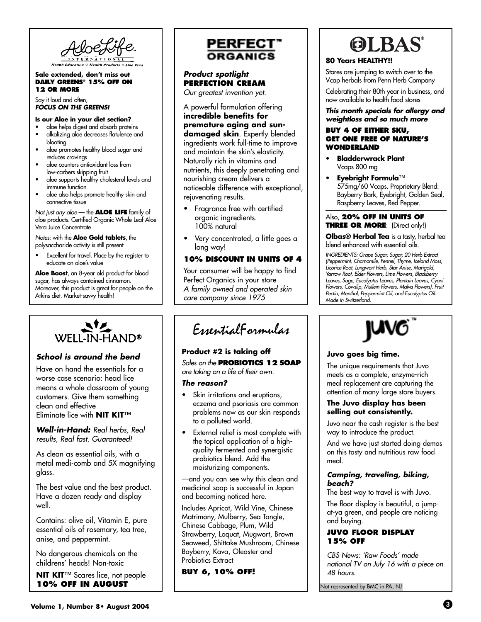AloeLi

#### *Sale extended, don't miss out* **DAILY GREENS@ 15% OFF ON 12 OR MORE**

Say it loud and often, *FOCUS ON THE GREENS!*

#### *Is our Aloe in your diet section?*

- aloe helps digest and absorb proteins • alkalizing aloe decreases flatulence and bloating
- aloe promotes healthy blood sugar and reduces cravings
- aloe counters antioxidant loss from low-carbers skipping fruit
- aloe supports healthy cholesterol levels and immune function
- aloe also helps promote healthy skin and connective tissue

Not just any aloe — the **ALOE LIFE** family of aloe products. Certified Organic Whole Leaf Aloe Vera Juice Concentrate

Notes: with the *Aloe Gold tablets*, the polysaccharide activity is still present

Excellent for travel. Place by the register to educate on aloe's value

*Aloe Boost*, an 8-year old product for blood sugar, has always contained cinnamon. Moreover, this product is great for people on the Atkins diet. Market-savvy health!



#### *School is around the bend*

Have on hand the essentials for a worse case scenario: head lice means a whole classroom of young customers. Give them something clean and effective Eliminate lice with *NIT KIT*™

*Well-in-Hand:* Real herbs, Real results, Real fast. Guaranteed!

As clean as essential oils, with a metal medi-comb and 5X magnifying glass.

The best value and the best product. Have a dozen ready and display well.

Contains: olive oil, Vitamin E, pure essential oils of rosemary, tea tree, anise, and peppermint.

No dangerous chemicals on the childrens' heads! Non-toxic

**NIT KIT™ Scares lice, not people 10% OFF IN AUGUST**



#### *Product spotlight* **PERFECTION CREAM**

Our greatest invention yet.

A powerful formulation offering *incredible benefits for premature aging and sundamaged skin*. Expertly blended ingredients work full-time to improve and maintain the skin's elasticity. Naturally rich in vitamins and nutrients, this deeply penetrating and nourishing cream delivers a noticeable difference with exceptional, rejuvenating results.

- Fragrance free with certified organic ingredients. 100% natural
- Very concentrated, a little goes a long way!

#### **10% DISCOUNT IN UNITS OF 4**

Your consumer will be happy to find Perfect Organics in your store A family owned and operated skin care company since 1975

EssentialFormulas

## *Product #2 is taking off*

Sales on the **PROBIOTICS 12 SOAP** are taking on a life of their own.

#### *The reason?*

- Skin irritations and eruptions, eczema and psoriasis are common problems now as our skin responds to a polluted world.
- External relief is most complete with the topical application of a highquality fermented and synergistic probiotics blend. Add the moisturizing components.

—and you can see why this clean and medicinal soap is successful in Japan and becoming noticed here.

Includes Apricot, Wild Vine, Chinese Matrimony, Mulberry, Sea Tangle, Chinese Cabbage, Plum, Wild Strawberry, Loquat, Mugwort, Brown Seaweed, Shittake Mushroom, Chinese Bayberry, Kava, Oleaster and Probiotics Extract

**BUY 6, 10% OFF!**

# **OLBAS®**

#### *80 Years HEALTHY!!*

Stores are jumping to switch over to the Vcap herbals from Penn Herb Company

Celebrating their 80th year in business, and now available to health food stores

#### *This month specials for allergy and weightloss and so much more*

#### **BUY 4 OF EITHER SKU, GET ONE FREE OF NATURE'S WONDERLAND**

- *Bladderwrack Plant* Vcaps 800 mg
- *Eyebright Formula*™ 575mg/60 Vcaps. Proprietary Blend: Bayberry Bark, Eyebright, Golden Seal, Raspberry Leaves, Red Pepper.

#### Also, **20% OFF IN UNITS OF THREE OR MORE:** (Direct only!)

*Olbas® Herbal Tea* is a tasty, herbal tea blend enhanced with essential oils.

INGREDIENTS: Grape Sugar, Sugar, 20 Herb Extract (Peppermint, Chamomile, Fennel, Thyme, Iceland Moss, Licorice Root, Lungwort Herb, Star Anise, Marigold, Yarrow Root, Elder Flowers, Lime Flowers, Blackberry Leaves, Sage, Eucalyptus Leaves, Plantain Leaves, Cyani Flowers, Cowslip, Mullein Flowers, Malva Flowers), Fruit Pectin, Menthol, Peppermint Oil, and Eucalyptus Oil. Made in Switzerland.



#### *Juvo goes big time.*

The unique requirements that Juvo meets as a complete, enzyme-rich meal replacement are capturing the attention of many large store buyers.

#### *The Juvo display has been selling out consistently.*

Juvo near the cash register is the best way to introduce the product.

And we have just started doing demos on this tasty and nutritious raw food meal.

#### *Camping, traveling, biking, beach?*

The best way to travel is with Juvo.

The floor display is beautiful, a jumpat-ya green, and people are noticing and buying.

#### **JUVO FLOOR DISPLAY 15% OFF**

CBS News: 'Raw Foods' made national TV on July 16 with a piece on 48 hours.

Not represented by BMC in PA, NJ